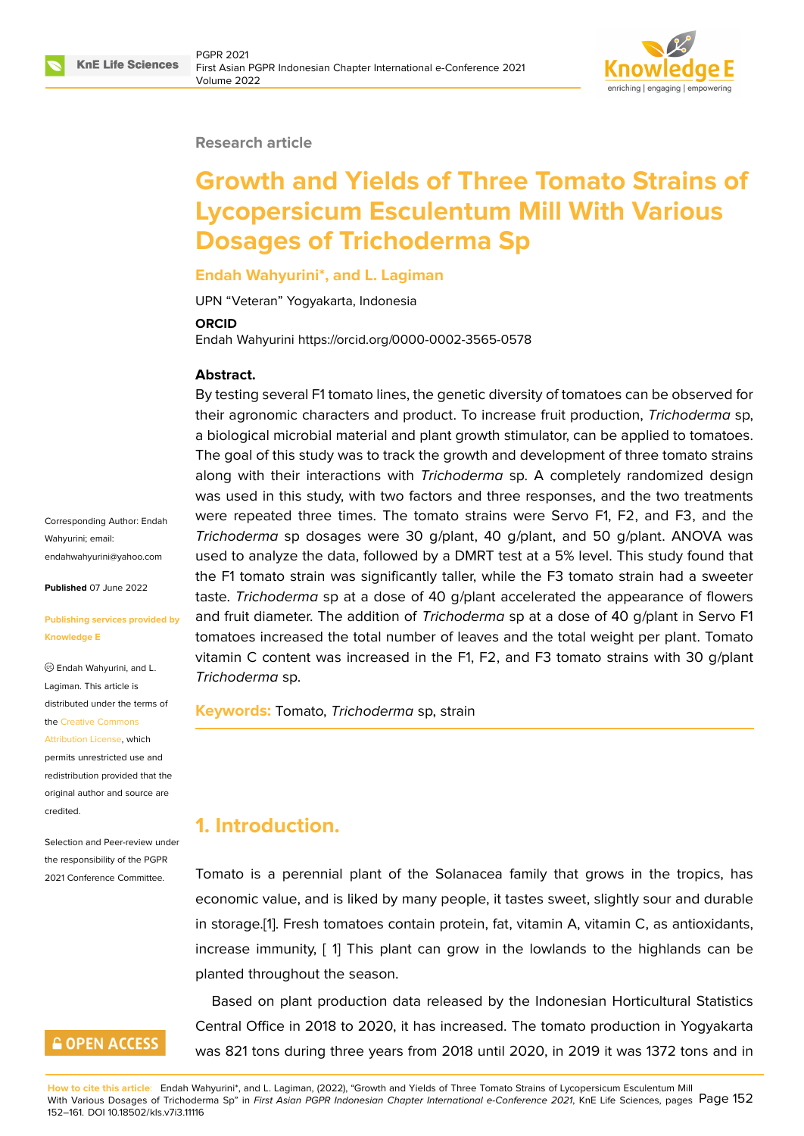

#### **Research article**

# **Growth and Yields of Three Tomato Strains of Lycopersicum Esculentum Mill With Various Dosages of Trichoderma Sp**

#### **Endah Wahyurini\*, and L. Lagiman**

UPN "Veteran" Yogyakarta, Indonesia

#### **ORCID**

Endah Wahyurini https://orcid.org/0000-0002-3565-0578

#### **Abstract.**

By testing several F1 tomato lines, the genetic diversity of tomatoes can be observed for their agronomic characters and product. To increase fruit production, *Trichoderma* sp, a biological microbial material and plant growth stimulator, can be applied to tomatoes. The goal of this study was to track the growth and development of three tomato strains along with their interactions with *Trichoderma* sp. A completely randomized design was used in this study, with two factors and three responses, and the two treatments were repeated three times. The tomato strains were Servo F1, F2, and F3, and the *Trichoderma* sp dosages were 30 g/plant, 40 g/plant, and 50 g/plant. ANOVA was used to analyze the data, followed by a DMRT test at a 5% level. This study found that the F1 tomato strain was significantly taller, while the F3 tomato strain had a sweeter taste. *Trichoderma* sp at a dose of 40 g/plant accelerated the appearance of flowers and fruit diameter. The addition of *Trichoderma* sp at a dose of 40 g/plant in Servo F1 tomatoes increased the total number of leaves and the total weight per plant. Tomato vitamin C content was increased in the F1, F2, and F3 tomato strains with 30 g/plant *Trichoderma* sp.

**Keywords:** Tomato, *Trichoderma* sp, strain

# **1. Introduction.**

Tomato is a perennial plant of the Solanacea family that grows in the tropics, has economic value, and is liked by many people, it tastes sweet, slightly sour and durable in storage.[1]. Fresh tomatoes contain protein, fat, vitamin A, vitamin C, as antioxidants, increase immunity, [ 1] This plant can grow in the lowlands to the highlands can be planted throughout the season.

Based o[n](#page-8-0) plant production data released by the Indonesian Horticultural Statistics Central Office in 2018 to 2020, it has increased. The tomato production in Yogyakarta was 821 tons during three years from 2018 until 2020, in 2019 it was 1372 tons and in

Corresponding Author: Endah Wahyurini; email: endahwahyurini@yahoo.com

**Published** 07 June 2022

#### **[Publishing services provided](mailto:endahwahyurini@yahoo.com) by Knowledge E**

Endah Wahyurini, and L. Lagiman. This article is distributed under the terms of the Creative Commons

Attribution License, which

permits unrestricted use and redistribution provided that the orig[inal author and sou](https://creativecommons.org/licenses/by/4.0/)rce are [credited.](https://creativecommons.org/licenses/by/4.0/)

Selection and Peer-review under the responsibility of the PGPR 2021 Conference Committee.

# **GOPEN ACCESS**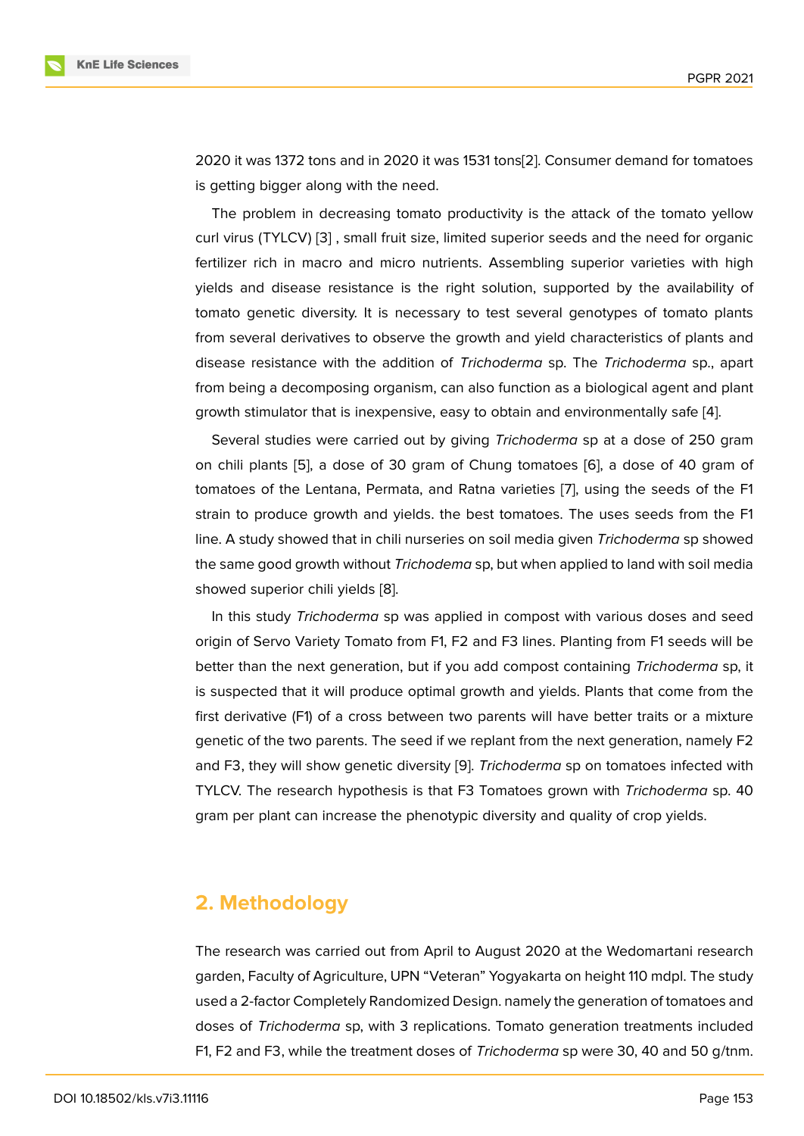2020 it was 1372 tons and in 2020 it was 1531 tons[2]. Consumer demand for tomatoes is getting bigger along with the need.

The problem in decreasing tomato productivity is the attack of the tomato yellow curl virus (TYLCV) [3] , small fruit size, limited supe[rio](#page-8-1)r seeds and the need for organic fertilizer rich in macro and micro nutrients. Assembling superior varieties with high yields and disease resistance is the right solution, supported by the availability of tomato genetic di[ve](#page-8-2)rsity. It is necessary to test several genotypes of tomato plants from several derivatives to observe the growth and yield characteristics of plants and disease resistance with the addition of *Trichoderma* sp. The *Trichoderma* sp., apart from being a decomposing organism, can also function as a biological agent and plant growth stimulator that is inexpensive, easy to obtain and environmentally safe [4].

Several studies were carried out by giving *Trichoderma* sp at a dose of 250 gram on chili plants [5], a dose of 30 gram of Chung tomatoes [6], a dose of 40 gram of tomatoes of the Lentana, Permata, and Ratna varieties [7], using the seeds o[f t](#page-8-3)he F1 strain to produce growth and yields. the best tomatoes. The uses seeds from the F1 line. A study sh[ow](#page-8-4)ed that in chili nurseries on soil media give[n](#page-8-5) *Trichoderma* sp showed the same good growth without *Trichodema* sp, but when [ap](#page-8-6)plied to land with soil media showed superior chili yields [8].

In this study *Trichoderma* sp was applied in compost with various doses and seed origin of Servo Variety Tomato from F1, F2 and F3 lines. Planting from F1 seeds will be better than the next generati[o](#page-8-7)n, but if you add compost containing *Trichoderma* sp, it is suspected that it will produce optimal growth and yields. Plants that come from the first derivative (F1) of a cross between two parents will have better traits or a mixture genetic of the two parents. The seed if we replant from the next generation, namely F2 and F3, they will show genetic diversity [9]. *Trichoderma* sp on tomatoes infected with TYLCV. The research hypothesis is that F3 Tomatoes grown with *Trichoderma* sp. 40 gram per plant can increase the phenotypic diversity and quality of crop yields.

### **2. Methodology**

The research was carried out from April to August 2020 at the Wedomartani research garden, Faculty of Agriculture, UPN "Veteran" Yogyakarta on height 110 mdpl. The study used a 2-factor Completely Randomized Design. namely the generation of tomatoes and doses of *Trichoderma* sp, with 3 replications. Tomato generation treatments included F1, F2 and F3, while the treatment doses of *Trichoderma* sp were 30, 40 and 50 g/tnm.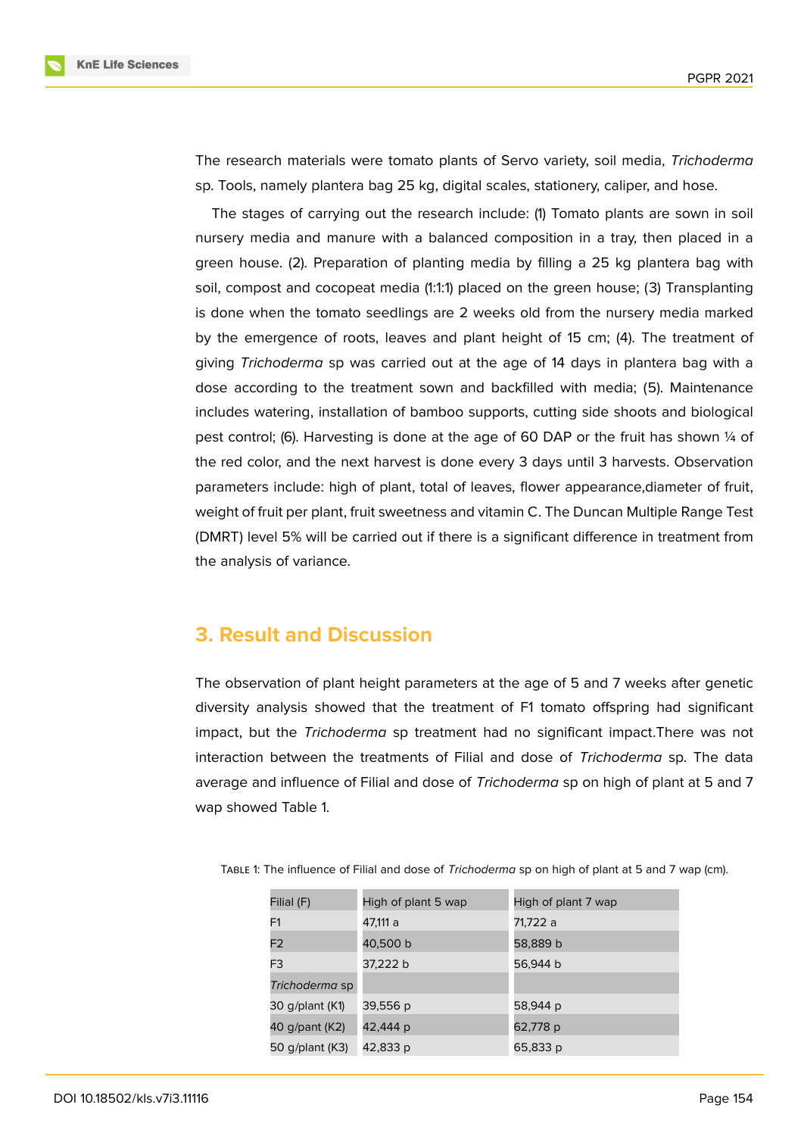

The research materials were tomato plants of Servo variety, soil media, *Trichoderma* sp. Tools, namely plantera bag 25 kg, digital scales, stationery, caliper, and hose.

The stages of carrying out the research include: (1) Tomato plants are sown in soil nursery media and manure with a balanced composition in a tray, then placed in a green house. (2). Preparation of planting media by filling a 25 kg plantera bag with soil, compost and cocopeat media (1:1:1) placed on the green house; (3) Transplanting is done when the tomato seedlings are 2 weeks old from the nursery media marked by the emergence of roots, leaves and plant height of 15 cm; (4). The treatment of giving *Trichoderma* sp was carried out at the age of 14 days in plantera bag with a dose according to the treatment sown and backfilled with media; (5). Maintenance includes watering, installation of bamboo supports, cutting side shoots and biological pest control; (6). Harvesting is done at the age of 60 DAP or the fruit has shown  $\frac{1}{4}$  of the red color, and the next harvest is done every 3 days until 3 harvests. Observation parameters include: high of plant, total of leaves, flower appearance,diameter of fruit, weight of fruit per plant, fruit sweetness and vitamin C. The Duncan Multiple Range Test (DMRT) level 5% will be carried out if there is a significant difference in treatment from the analysis of variance.

# **3. Result and Discussion**

The observation of plant height parameters at the age of 5 and 7 weeks after genetic diversity analysis showed that the treatment of F1 tomato offspring had significant impact, but the *Trichoderma* sp treatment had no significant impact.There was not interaction between the treatments of Filial and dose of *Trichoderma* sp. The data average and influence of Filial and dose of *Trichoderma* sp on high of plant at 5 and 7 wap showed Table 1.

| Filial (F)      | High of plant 5 wap | High of plant 7 wap |
|-----------------|---------------------|---------------------|
| F1              | 47,111 a            | 71,722 a            |
| F <sub>2</sub>  | 40,500 b            | 58,889 b            |
| F <sub>3</sub>  | 37,222 b            | 56,944 b            |
| Trichoderma sp  |                     |                     |
| 30 g/plant (K1) | 39,556 p            | 58,944 p            |
| 40 g/pant (K2)  | 42,444 p            | 62,778 p            |
| 50 g/plant (K3) | 42,833 p            | 65,833 p            |

Table 1: The influence of Filial and dose of *Trichoderma* sp on high of plant at 5 and 7 wap (cm).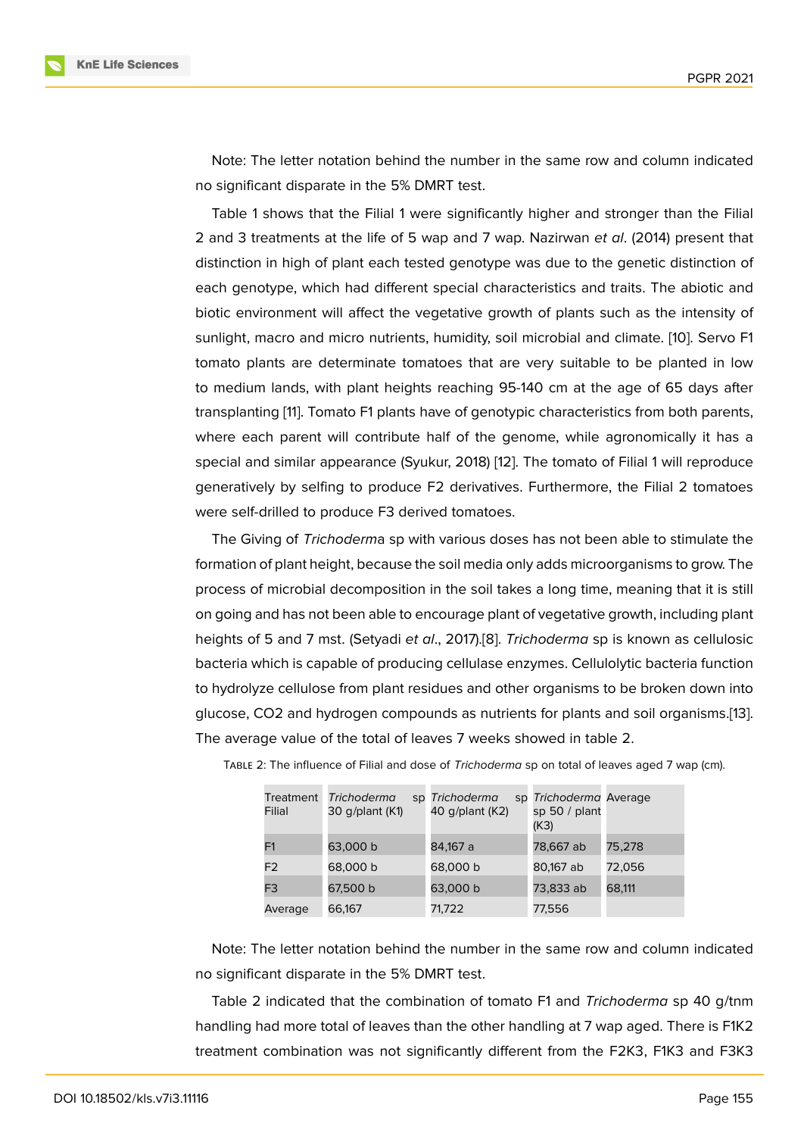Note: The letter notation behind the number in the same row and column indicated no significant disparate in the 5% DMRT test.

Table 1 shows that the Filial 1 were significantly higher and stronger than the Filial 2 and 3 treatments at the life of 5 wap and 7 wap. Nazirwan *et al*. (2014) present that distinction in high of plant each tested genotype was due to the genetic distinction of each genotype, which had different special characteristics and traits. The abiotic and biotic environment will affect the vegetative growth of plants such as the intensity of sunlight, macro and micro nutrients, humidity, soil microbial and climate. [10]. Servo F1 tomato plants are determinate tomatoes that are very suitable to be planted in low to medium lands, with plant heights reaching 95-140 cm at the age of 65 days after transplanting [11]. Tomato F1 plants have of genotypic characteristics from [bot](#page-9-0)h parents, where each parent will contribute half of the genome, while agronomically it has a special and similar appearance (Syukur, 2018) [12]. The tomato of Filial 1 will reproduce generatively [by](#page-9-1) selfing to produce F2 derivatives. Furthermore, the Filial 2 tomatoes were self-drilled to produce F3 derived tomatoes.

The Giving of *Trichoderm*a sp with various [dos](#page-9-2)es has not been able to stimulate the formation of plant height, because the soil media only adds microorganisms to grow. The process of microbial decomposition in the soil takes a long time, meaning that it is still on going and has not been able to encourage plant of vegetative growth, including plant heights of 5 and 7 mst. (Setyadi *et al*., 2017).[8]. *Trichoderma* sp is known as cellulosic bacteria which is capable of producing cellulase enzymes. Cellulolytic bacteria function to hydrolyze cellulose from plant residues and other organisms to be broken down into glucose, CO2 and hydrogen compounds as [nu](#page-8-7)trients for plants and soil organisms.[13]. The average value of the total of leaves 7 weeks showed in table 2.

| Treatment<br>Filial | <b>Trichoderma</b><br>30 g/plant (K1) | sp Trichoderma<br>40 g/plant (K2) | sp Trichoderma Average<br>sp 50 $/$ plant<br>(K3) |        |
|---------------------|---------------------------------------|-----------------------------------|---------------------------------------------------|--------|
| F <sub>1</sub>      | 63,000 b                              | 84,167 a                          | 78,667 ab                                         | 75,278 |
| F <sub>2</sub>      | 68,000 b                              | 68,000 b                          | 80,167 ab                                         | 72,056 |
| F <sub>3</sub>      | 67,500 b                              | 63,000 b                          | 73,833 ab                                         | 68,111 |
| Average             | 66,167                                | 71,722                            | 77,556                                            |        |

Table 2: The influence of Filial and dose of *Trichoderma* sp on total of leaves aged 7 wap (cm).

Note: The letter notation behind the number in the same row and column indicated no significant disparate in the 5% DMRT test.

Table 2 indicated that the combination of tomato F1 and *Trichoderma* sp 40 g/tnm handling had more total of leaves than the other handling at 7 wap aged. There is F1K2 treatment combination was not significantly different from the F2K3, F1K3 and F3K3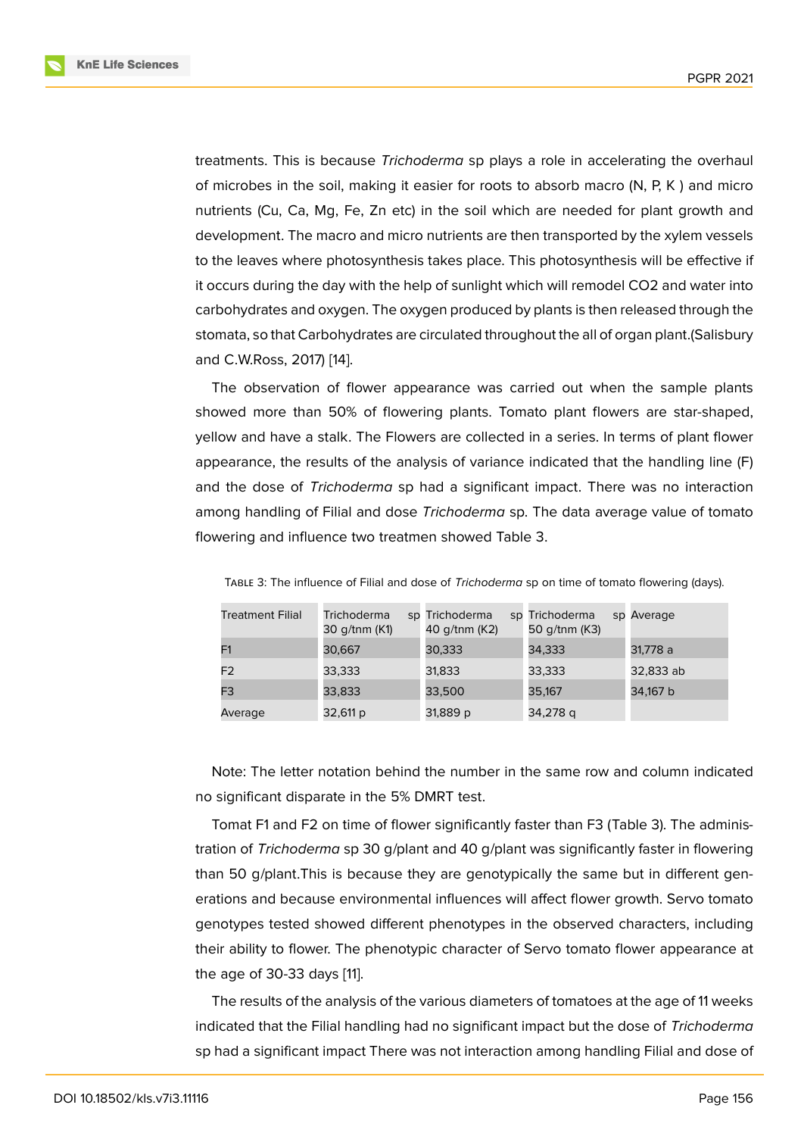treatments. This is because *Trichoderma* sp plays a role in accelerating the overhaul of microbes in the soil, making it easier for roots to absorb macro (N, P, K ) and micro nutrients (Cu, Ca, Mg, Fe, Zn etc) in the soil which are needed for plant growth and development. The macro and micro nutrients are then transported by the xylem vessels to the leaves where photosynthesis takes place. This photosynthesis will be effective if it occurs during the day with the help of sunlight which will remodel CO2 and water into carbohydrates and oxygen. The oxygen produced by plants is then released through the stomata, so that Carbohydrates are circulated throughout the all of organ plant.(Salisbury and C.W.Ross, 2017) [14].

The observation of flower appearance was carried out when the sample plants showed more than 50% of flowering plants. Tomato plant flowers are star-shaped, yellow and have a st[alk](#page-9-3). The Flowers are collected in a series. In terms of plant flower appearance, the results of the analysis of variance indicated that the handling line (F) and the dose of *Trichoderma* sp had a significant impact. There was no interaction among handling of Filial and dose *Trichoderma* sp. The data average value of tomato flowering and influence two treatmen showed Table 3.

| <b>Treatment Filial</b> | <b>Trichoderma</b><br>30 g/tnm (K1) | sp Trichoderma<br>40 g/tnm (K2) | sp Trichoderma<br>50 g/tnm (K3) | sp Average |
|-------------------------|-------------------------------------|---------------------------------|---------------------------------|------------|
| F1                      | 30,667                              | 30,333                          | 34,333                          | 31,778 a   |
| F <sub>2</sub>          | 33,333                              | 31,833                          | 33,333                          | 32,833 ab  |
| F3                      | 33,833                              | 33,500                          | 35,167                          | 34,167 b   |
| Average                 | 32,611 p                            | 31,889 p                        | 34,278 q                        |            |

Table 3: The influence of Filial and dose of *Trichoderma* sp on time of tomato flowering (days).

Note: The letter notation behind the number in the same row and column indicated no significant disparate in the 5% DMRT test.

Tomat F1 and F2 on time of flower significantly faster than F3 (Table 3). The administration of *Trichoderma* sp 30 g/plant and 40 g/plant was significantly faster in flowering than 50 g/plant.This is because they are genotypically the same but in different generations and because environmental influences will affect flower growth. Servo tomato genotypes tested showed different phenotypes in the observed characters, including their ability to flower. The phenotypic character of Servo tomato flower appearance at the age of 30-33 days [11].

The results of the analysis of the various diameters of tomatoes at the age of 11 weeks indicated that the Filial handling had no significant impact but the dose of *Trichoderma* sp had a significant imp[ac](#page-9-1)t There was not interaction among handling Filial and dose of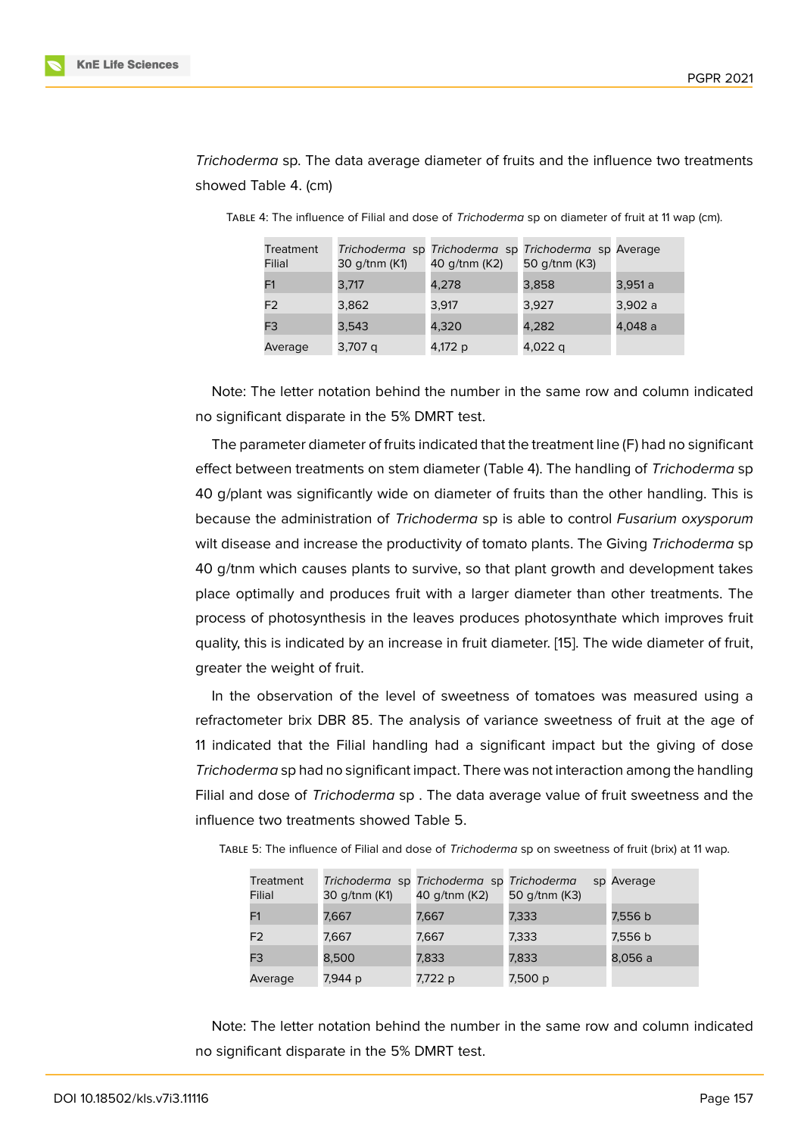*Trichoderma* sp. The data average diameter of fruits and the influence two treatments showed Table 4. (cm)

| Treatment<br>Filial | 30 g/tnm (K1) | 40 g/tnm (K2) | Trichoderma sp Trichoderma sp Trichoderma sp Average<br>50 g/tnm (K3) |         |
|---------------------|---------------|---------------|-----------------------------------------------------------------------|---------|
| F1                  | 3,717         | 4,278         | 3,858                                                                 | 3,951 a |
| F <sub>2</sub>      | 3,862         | 3,917         | 3,927                                                                 | 3,902 a |
| F <sub>3</sub>      | 3,543         | 4,320         | 4,282                                                                 | 4,048 a |
| Average             | 3,707 q       | 4,172 p       | 4,022 q                                                               |         |

Table 4: The influence of Filial and dose of *Trichoderma* sp on diameter of fruit at 11 wap (cm).

Note: The letter notation behind the number in the same row and column indicated no significant disparate in the 5% DMRT test.

The parameter diameter of fruits indicated that the treatment line (F) had no significant effect between treatments on stem diameter (Table 4). The handling of *Trichoderma* sp 40 g/plant was significantly wide on diameter of fruits than the other handling. This is because the administration of *Trichoderma* sp is able to control *Fusarium oxysporum* wilt disease and increase the productivity of tomato plants. The Giving *Trichoderma* sp 40 g/tnm which causes plants to survive, so that plant growth and development takes place optimally and produces fruit with a larger diameter than other treatments. The process of photosynthesis in the leaves produces photosynthate which improves fruit quality, this is indicated by an increase in fruit diameter. [15]. The wide diameter of fruit, greater the weight of fruit.

In the observation of the level of sweetness of tomatoes was measured using a refractometer brix DBR 85. The analysis of variance s[wee](#page-9-4)tness of fruit at the age of 11 indicated that the Filial handling had a significant impact but the giving of dose *Trichoderma* sp had no significant impact. There was not interaction among the handling Filial and dose of *Trichoderma* sp . The data average value of fruit sweetness and the influence two treatments showed Table 5.

| Treatment<br>Filial | 30 g/tnm (K1) | Trichoderma sp Trichoderma sp Trichoderma<br>40 g/tnm (K2) | 50 g/tnm (K3) | sp Average |
|---------------------|---------------|------------------------------------------------------------|---------------|------------|
| F1                  | 7,667         | 7,667                                                      | 7,333         | 7,556 b    |
| F <sub>2</sub>      | 7,667         | 7,667                                                      | 7,333         | 7,556 b    |
| F <sub>3</sub>      | 8,500         | 7,833                                                      | 7,833         | 8,056 a    |
| Average             | 7,944 p       | 7,722 p                                                    | 7,500 p       |            |

Table 5: The influence of Filial and dose of *Trichoderma* sp on sweetness of fruit (brix) at 11 wap.

Note: The letter notation behind the number in the same row and column indicated no significant disparate in the 5% DMRT test.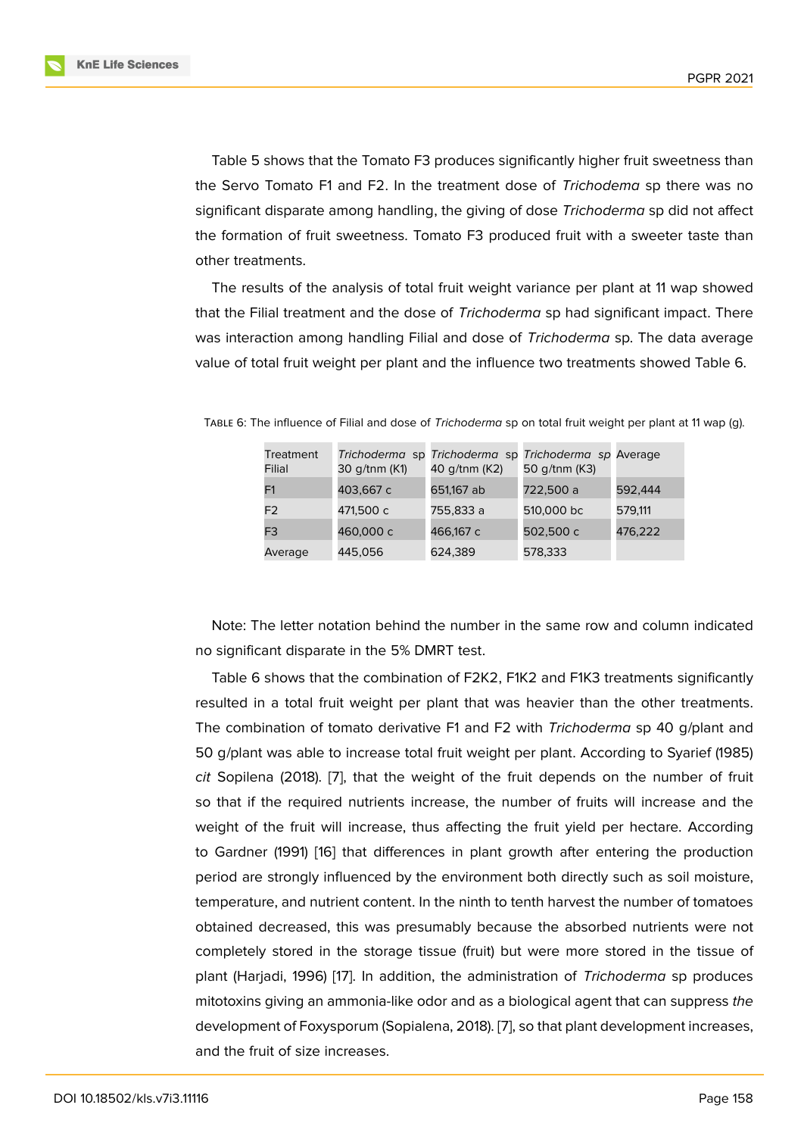Table 5 shows that the Tomato F3 produces significantly higher fruit sweetness than the Servo Tomato F1 and F2. In the treatment dose of *Trichodema* sp there was no significant disparate among handling, the giving of dose *Trichoderma* sp did not affect the formation of fruit sweetness. Tomato F3 produced fruit with a sweeter taste than other treatments.

The results of the analysis of total fruit weight variance per plant at 11 wap showed that the Filial treatment and the dose of *Trichoderma* sp had significant impact. There was interaction among handling Filial and dose of *Trichoderma* sp. The data average value of total fruit weight per plant and the influence two treatments showed Table 6.

| Treatment<br>Filial | 30 g/tnm (K1) | Trichoderma sp Trichoderma sp Trichoderma sp Average<br>40 g/tnm (K2) | 50 g/tnm (K3) |         |
|---------------------|---------------|-----------------------------------------------------------------------|---------------|---------|
| F1                  | 403,667 c     | 651,167 ab                                                            | 722,500 a     | 592,444 |
| F <sub>2</sub>      | 471,500 с     | 755,833 a                                                             | 510,000 bc    | 579,111 |
| F3                  | 460,000 c     | 466,167 c                                                             | 502,500 c     | 476,222 |
| Average             | 445.056       | 624,389                                                               | 578,333       |         |

Table 6: The influence of Filial and dose of *Trichoderma* sp on total fruit weight per plant at 11 wap (g).

Note: The letter notation behind the number in the same row and column indicated no significant disparate in the 5% DMRT test.

Table 6 shows that the combination of F2K2, F1K2 and F1K3 treatments significantly resulted in a total fruit weight per plant that was heavier than the other treatments. The combination of tomato derivative F1 and F2 with *Trichoderma* sp 40 g/plant and 50 g/plant was able to increase total fruit weight per plant. According to Syarief (1985) *cit* Sopilena (2018). [7], that the weight of the fruit depends on the number of fruit so that if the required nutrients increase, the number of fruits will increase and the weight of the fruit will increase, thus affecting the fruit yield per hectare. According to Gardner (1991) [1[6\]](#page-8-6) that differences in plant growth after entering the production period are strongly influenced by the environment both directly such as soil moisture, temperature, and nutrient content. In the ninth to tenth harvest the number of tomatoes obtained decreas[ed,](#page-9-5) this was presumably because the absorbed nutrients were not completely stored in the storage tissue (fruit) but were more stored in the tissue of plant (Harjadi, 1996) [17]. In addition, the administration of *Trichoderma* sp produces mitotoxins giving an ammonia-like odor and as a biological agent that can suppress *the* development of Foxysporum (Sopialena, 2018). [7], so that plant development increases, and the fruit of size i[ncre](#page-9-6)ases.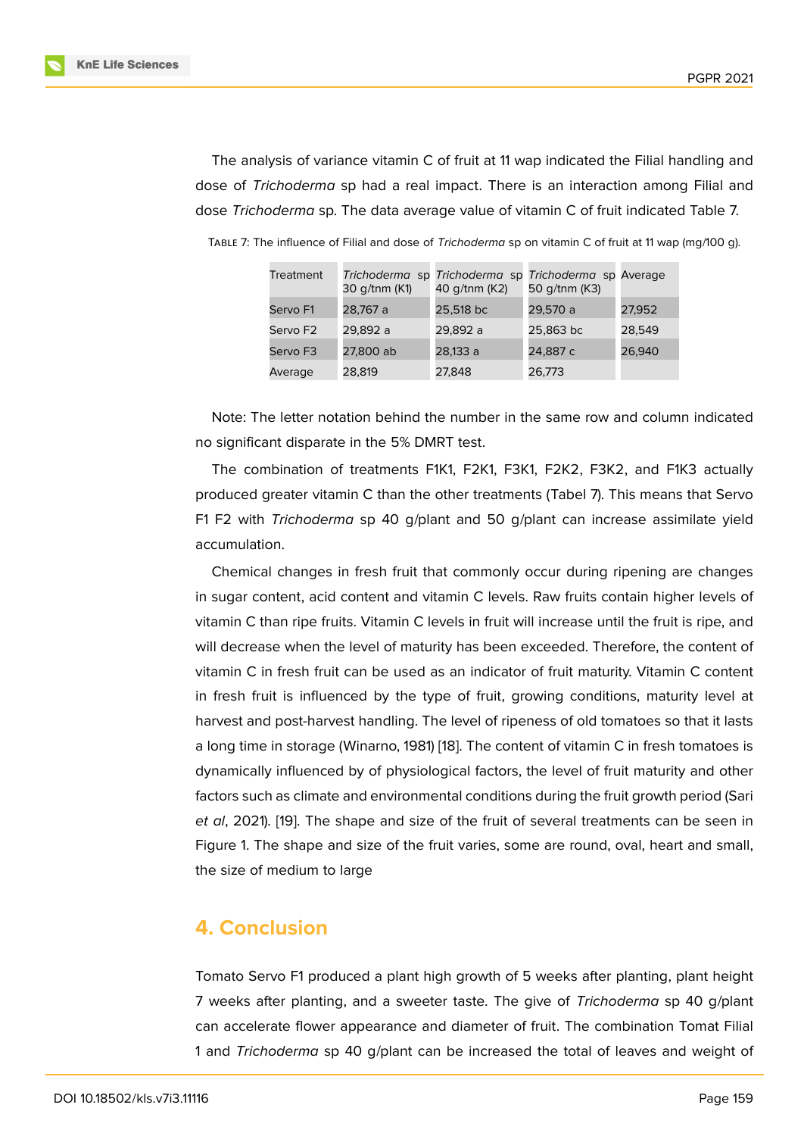The analysis of variance vitamin C of fruit at 11 wap indicated the Filial handling and dose of *Trichoderma* sp had a real impact. There is an interaction among Filial and dose *Trichoderma* sp. The data average value of vitamin C of fruit indicated Table 7.

| Treatment            | 30 g/tnm (K1) | Trichoderma sp Trichoderma sp Trichoderma sp Average<br>40 g/tnm (K2) | 50 g/tnm (K3) |        |
|----------------------|---------------|-----------------------------------------------------------------------|---------------|--------|
| Servo <sub>F1</sub>  | 28,767 a      | 25,518 bc                                                             | 29,570 a      | 27,952 |
| Servo F <sub>2</sub> | 29,892 a      | 29,892 a                                                              | 25,863 bc     | 28,549 |
| Servo F3             | 27,800 ab     | 28,133 a                                                              | 24,887 c      | 26,940 |
| Average              | 28,819        | 27,848                                                                | 26,773        |        |

Table 7: The influence of Filial and dose of *Trichoderma* sp on vitamin C of fruit at 11 wap (mg/100 g).

Note: The letter notation behind the number in the same row and column indicated no significant disparate in the 5% DMRT test.

The combination of treatments F1K1, F2K1, F3K1, F2K2, F3K2, and F1K3 actually produced greater vitamin C than the other treatments (Tabel 7). This means that Servo F1 F2 with *Trichoderma* sp 40 g/plant and 50 g/plant can increase assimilate yield accumulation.

Chemical changes in fresh fruit that commonly occur during ripening are changes in sugar content, acid content and vitamin C levels. Raw fruits contain higher levels of vitamin C than ripe fruits. Vitamin C levels in fruit will increase until the fruit is ripe, and will decrease when the level of maturity has been exceeded. Therefore, the content of vitamin C in fresh fruit can be used as an indicator of fruit maturity. Vitamin C content in fresh fruit is influenced by the type of fruit, growing conditions, maturity level at harvest and post-harvest handling. The level of ripeness of old tomatoes so that it lasts a long time in storage (Winarno, 1981) [18]. The content of vitamin C in fresh tomatoes is dynamically influenced by of physiological factors, the level of fruit maturity and other factors such as climate and environmental conditions during the fruit growth period (Sari *et al*, 2021). [19]. The shape and size [of](#page-9-7) the fruit of several treatments can be seen in Figure 1. The shape and size of the fruit varies, some are round, oval, heart and small, the size of medium to large

# **4. C[o](#page-8-8)nclusion**

Tomato Servo F1 produced a plant high growth of 5 weeks after planting, plant height 7 weeks after planting, and a sweeter taste. The give of *Trichoderma* sp 40 g/plant can accelerate flower appearance and diameter of fruit. The combination Tomat Filial 1 and *Trichoderma* sp 40 g/plant can be increased the total of leaves and weight of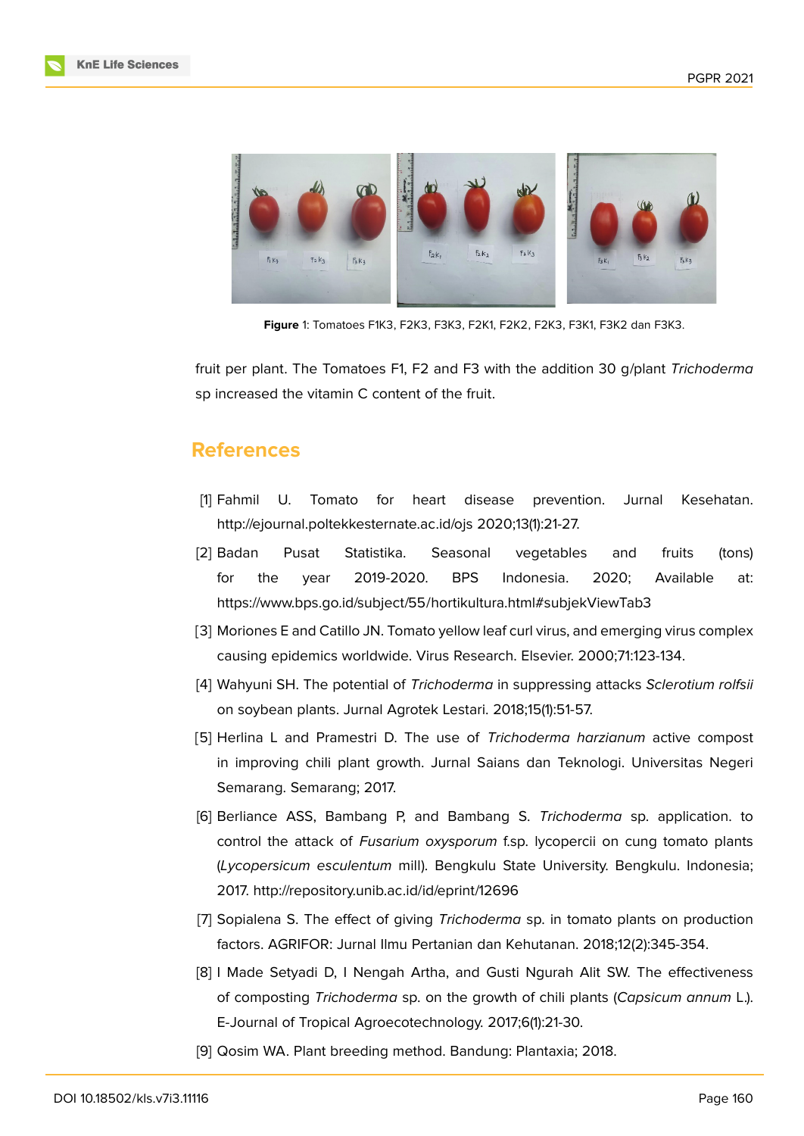



**Figure** 1: Tomatoes F1K3, F2K3, F3K3, F2K1, F2K2, F2K3, F3K1, F3K2 dan F3K3.

<span id="page-8-8"></span>fruit per plant. The Tomatoes F1, F2 and F3 with the addition 30 g/plant *Trichoderma* sp increased the vitamin C content of the fruit.

### **References**

- <span id="page-8-0"></span>[1] Fahmil U. Tomato for heart disease prevention. Jurnal Kesehatan. http://ejournal.poltekkesternate.ac.id/ojs 2020;13(1):21-27.
- <span id="page-8-1"></span>[2] Badan Pusat Statistika. Seasonal vegetables and fruits (tons) for the year 2019-2020. BPS Indonesia. 2020; Available at: https://www.bps.go.id/subject/55/hortikultura.html#subjekViewTab3
- <span id="page-8-2"></span>[3] Moriones E and Catillo JN. Tomato yellow leaf curl virus, and emerging virus complex causing epidemics worldwide. Virus Research. Elsevier. 2000;71:123-134.
- <span id="page-8-3"></span>[4] Wahyuni SH. The potential of *Trichoderma* in suppressing attacks *Sclerotium rolfsii* on soybean plants. Jurnal Agrotek Lestari. 2018;15(1):51-57.
- <span id="page-8-4"></span>[5] Herlina L and Pramestri D. The use of *Trichoderma harzianum* active compost in improving chili plant growth. Jurnal Saians dan Teknologi. Universitas Negeri Semarang. Semarang; 2017.
- <span id="page-8-5"></span>[6] Berliance ASS, Bambang P, and Bambang S. *Trichoderma* sp. application. to control the attack of *Fusarium oxysporum* f.sp. lycopercii on cung tomato plants (*Lycopersicum esculentum* mill). Bengkulu State University. Bengkulu. Indonesia; 2017. http://repository.unib.ac.id/id/eprint/12696
- <span id="page-8-6"></span>[7] Sopialena S. The effect of giving *Trichoderma* sp. in tomato plants on production factors. AGRIFOR: Jurnal Ilmu Pertanian dan Kehutanan. 2018;12(2):345-354.
- <span id="page-8-7"></span>[8] I Made Setyadi D, I Nengah Artha, and Gusti Ngurah Alit SW. The effectiveness of composting *Trichoderma* sp. on the growth of chili plants (*Capsicum annum* L.). E-Journal of Tropical Agroecotechnology. 2017;6(1):21-30.
- [9] Qosim WA. Plant breeding method. Bandung: Plantaxia; 2018.